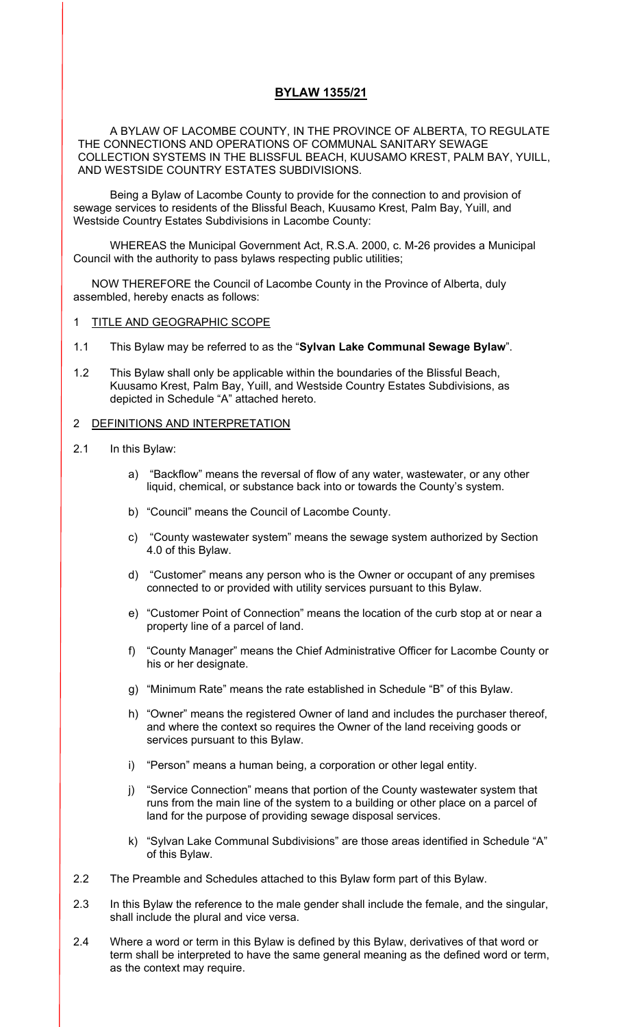# **BYLAW 1355/21**

A BYLAW OF LACOMBE COUNTY, IN THE PROVINCE OF ALBERTA, TO REGULATE THE CONNECTIONS AND OPERATIONS OF COMMUNAL SANITARY SEWAGE COLLECTION SYSTEMS IN THE BLISSFUL BEACH, KUUSAMO KREST, PALM BAY, YUILL, AND WESTSIDE COUNTRY ESTATES SUBDIVISIONS.

Being a Bylaw of Lacombe County to provide for the connection to and provision of sewage services to residents of the Blissful Beach, Kuusamo Krest, Palm Bay, Yuill, and Westside Country Estates Subdivisions in Lacombe County:

WHEREAS the Municipal Government Act, R.S.A. 2000, c. M-26 provides a Municipal Council with the authority to pass bylaws respecting public utilities;

NOW THEREFORE the Council of Lacombe County in the Province of Alberta, duly assembled, hereby enacts as follows:

### 1 TITLE AND GEOGRAPHIC SCOPE

- 1.1 This Bylaw may be referred to as the "**Sylvan Lake Communal Sewage Bylaw**".
- 1.2 This Bylaw shall only be applicable within the boundaries of the Blissful Beach, Kuusamo Krest, Palm Bay, Yuill, and Westside Country Estates Subdivisions, as depicted in Schedule "A" attached hereto.

### 2 DEFINITIONS AND INTERPRETATION

- 2.1 In this Bylaw:
	- a) "Backflow" means the reversal of flow of any water, wastewater, or any other liquid, chemical, or substance back into or towards the County's system.
	- b) "Council" means the Council of Lacombe County.
	- c) "County wastewater system" means the sewage system authorized by Section 4.0 of this Bylaw.
	- d) "Customer" means any person who is the Owner or occupant of any premises connected to or provided with utility services pursuant to this Bylaw.
	- e) "Customer Point of Connection" means the location of the curb stop at or near a property line of a parcel of land.
	- f) "County Manager" means the Chief Administrative Officer for Lacombe County or his or her designate.
	- g) "Minimum Rate" means the rate established in Schedule "B" of this Bylaw.
	- h) "Owner" means the registered Owner of land and includes the purchaser thereof, and where the context so requires the Owner of the land receiving goods or services pursuant to this Bylaw.
	- i) "Person" means a human being, a corporation or other legal entity.
	- j) "Service Connection" means that portion of the County wastewater system that runs from the main line of the system to a building or other place on a parcel of land for the purpose of providing sewage disposal services.
	- k) "Sylvan Lake Communal Subdivisions" are those areas identified in Schedule "A" of this Bylaw.
- 2.2 The Preamble and Schedules attached to this Bylaw form part of this Bylaw.
- 2.3 In this Bylaw the reference to the male gender shall include the female, and the singular, shall include the plural and vice versa.
- 2.4 Where a word or term in this Bylaw is defined by this Bylaw, derivatives of that word or term shall be interpreted to have the same general meaning as the defined word or term, as the context may require.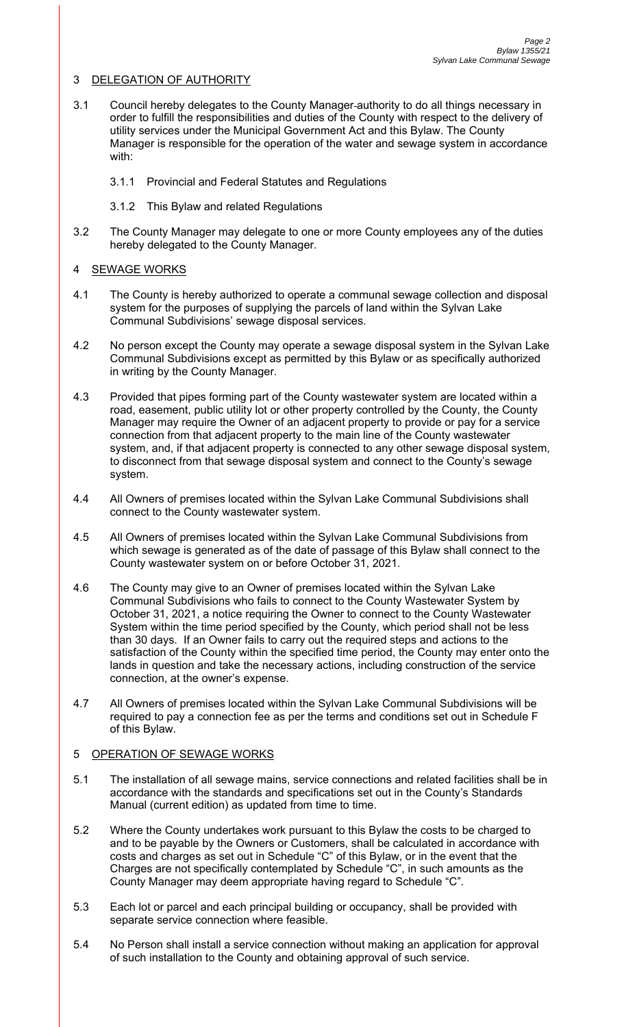## 3 DELEGATION OF AUTHORITY

- 3.1 Council hereby delegates to the County Manager authority to do all things necessary in order to fulfill the responsibilities and duties of the County with respect to the delivery of utility services under the Municipal Government Act and this Bylaw. The County Manager is responsible for the operation of the water and sewage system in accordance with:
	- 3.1.1 Provincial and Federal Statutes and Regulations
	- 3.1.2 This Bylaw and related Regulations
- 3.2 The County Manager may delegate to one or more County employees any of the duties hereby delegated to the County Manager.

### 4 SEWAGE WORKS

- 4.1 The County is hereby authorized to operate a communal sewage collection and disposal system for the purposes of supplying the parcels of land within the Sylvan Lake Communal Subdivisions' sewage disposal services.
- 4.2 No person except the County may operate a sewage disposal system in the Sylvan Lake Communal Subdivisions except as permitted by this Bylaw or as specifically authorized in writing by the County Manager.
- 4.3 Provided that pipes forming part of the County wastewater system are located within a road, easement, public utility lot or other property controlled by the County, the County Manager may require the Owner of an adjacent property to provide or pay for a service connection from that adjacent property to the main line of the County wastewater system, and, if that adjacent property is connected to any other sewage disposal system, to disconnect from that sewage disposal system and connect to the County's sewage system.
- 4.4 All Owners of premises located within the Sylvan Lake Communal Subdivisions shall connect to the County wastewater system.
- 4.5 All Owners of premises located within the Sylvan Lake Communal Subdivisions from which sewage is generated as of the date of passage of this Bylaw shall connect to the County wastewater system on or before October 31, 2021.
- 4.6 The County may give to an Owner of premises located within the Sylvan Lake Communal Subdivisions who fails to connect to the County Wastewater System by October 31, 2021, a notice requiring the Owner to connect to the County Wastewater System within the time period specified by the County, which period shall not be less than 30 days. If an Owner fails to carry out the required steps and actions to the satisfaction of the County within the specified time period, the County may enter onto the lands in question and take the necessary actions, including construction of the service connection, at the owner's expense.
- 4.7 All Owners of premises located within the Sylvan Lake Communal Subdivisions will be required to pay a connection fee as per the terms and conditions set out in Schedule F of this Bylaw.

# 5 OPERATION OF SEWAGE WORKS

- 5.1 The installation of all sewage mains, service connections and related facilities shall be in accordance with the standards and specifications set out in the County's Standards Manual (current edition) as updated from time to time.
- 5.2 Where the County undertakes work pursuant to this Bylaw the costs to be charged to and to be payable by the Owners or Customers, shall be calculated in accordance with costs and charges as set out in Schedule "C" of this Bylaw, or in the event that the Charges are not specifically contemplated by Schedule "C", in such amounts as the County Manager may deem appropriate having regard to Schedule "C".
- 5.3 Each lot or parcel and each principal building or occupancy, shall be provided with separate service connection where feasible.
- 5.4 No Person shall install a service connection without making an application for approval of such installation to the County and obtaining approval of such service.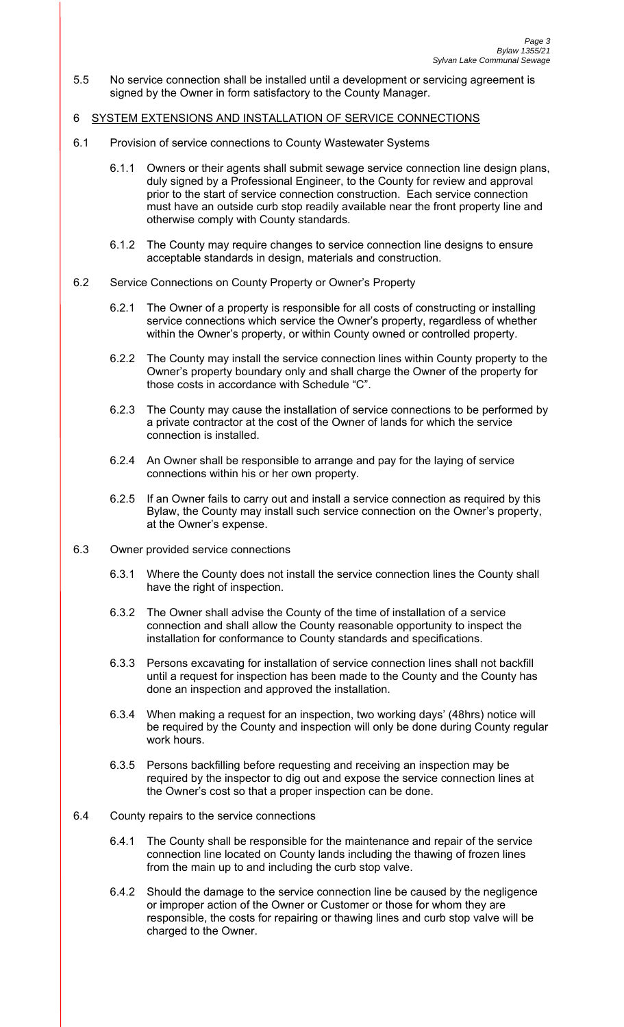5.5 No service connection shall be installed until a development or servicing agreement is signed by the Owner in form satisfactory to the County Manager.

### 6 SYSTEM EXTENSIONS AND INSTALLATION OF SERVICE CONNECTIONS

- 6.1 Provision of service connections to County Wastewater Systems
	- 6.1.1 Owners or their agents shall submit sewage service connection line design plans, duly signed by a Professional Engineer, to the County for review and approval prior to the start of service connection construction. Each service connection must have an outside curb stop readily available near the front property line and otherwise comply with County standards.
	- 6.1.2 The County may require changes to service connection line designs to ensure acceptable standards in design, materials and construction.

### 6.2 Service Connections on County Property or Owner's Property

- 6.2.1 The Owner of a property is responsible for all costs of constructing or installing service connections which service the Owner's property, regardless of whether within the Owner's property, or within County owned or controlled property.
- 6.2.2 The County may install the service connection lines within County property to the Owner's property boundary only and shall charge the Owner of the property for those costs in accordance with Schedule "C".
- 6.2.3 The County may cause the installation of service connections to be performed by a private contractor at the cost of the Owner of lands for which the service connection is installed.
- 6.2.4 An Owner shall be responsible to arrange and pay for the laying of service connections within his or her own property.
- 6.2.5 If an Owner fails to carry out and install a service connection as required by this Bylaw, the County may install such service connection on the Owner's property, at the Owner's expense.
- 6.3 Owner provided service connections
	- 6.3.1 Where the County does not install the service connection lines the County shall have the right of inspection.
	- 6.3.2 The Owner shall advise the County of the time of installation of a service connection and shall allow the County reasonable opportunity to inspect the installation for conformance to County standards and specifications.
	- 6.3.3 Persons excavating for installation of service connection lines shall not backfill until a request for inspection has been made to the County and the County has done an inspection and approved the installation.
	- 6.3.4 When making a request for an inspection, two working days' (48hrs) notice will be required by the County and inspection will only be done during County regular work hours.
	- 6.3.5 Persons backfilling before requesting and receiving an inspection may be required by the inspector to dig out and expose the service connection lines at the Owner's cost so that a proper inspection can be done.
- 6.4 County repairs to the service connections
	- 6.4.1 The County shall be responsible for the maintenance and repair of the service connection line located on County lands including the thawing of frozen lines from the main up to and including the curb stop valve.
	- 6.4.2 Should the damage to the service connection line be caused by the negligence or improper action of the Owner or Customer or those for whom they are responsible, the costs for repairing or thawing lines and curb stop valve will be charged to the Owner.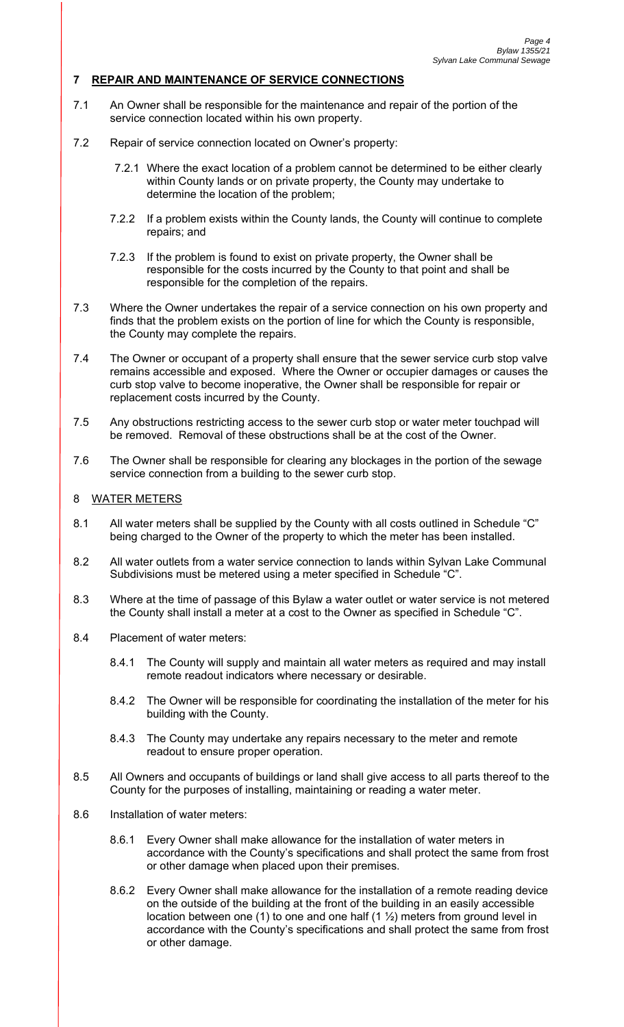# **7 REPAIR AND MAINTENANCE OF SERVICE CONNECTIONS**

- 7.1 An Owner shall be responsible for the maintenance and repair of the portion of the service connection located within his own property.
- 7.2 Repair of service connection located on Owner's property:
	- 7.2.1 Where the exact location of a problem cannot be determined to be either clearly within County lands or on private property, the County may undertake to determine the location of the problem;
	- 7.2.2 If a problem exists within the County lands, the County will continue to complete repairs; and
	- 7.2.3 If the problem is found to exist on private property, the Owner shall be responsible for the costs incurred by the County to that point and shall be responsible for the completion of the repairs.
- 7.3 Where the Owner undertakes the repair of a service connection on his own property and finds that the problem exists on the portion of line for which the County is responsible, the County may complete the repairs.
- 7.4 The Owner or occupant of a property shall ensure that the sewer service curb stop valve remains accessible and exposed. Where the Owner or occupier damages or causes the curb stop valve to become inoperative, the Owner shall be responsible for repair or replacement costs incurred by the County.
- 7.5 Any obstructions restricting access to the sewer curb stop or water meter touchpad will be removed. Removal of these obstructions shall be at the cost of the Owner.
- 7.6 The Owner shall be responsible for clearing any blockages in the portion of the sewage service connection from a building to the sewer curb stop.

### 8 WATER METERS

- 8.1 All water meters shall be supplied by the County with all costs outlined in Schedule "C" being charged to the Owner of the property to which the meter has been installed.
- 8.2 All water outlets from a water service connection to lands within Sylvan Lake Communal Subdivisions must be metered using a meter specified in Schedule "C".
- 8.3 Where at the time of passage of this Bylaw a water outlet or water service is not metered the County shall install a meter at a cost to the Owner as specified in Schedule "C".
- 8.4 Placement of water meters:
	- 8.4.1 The County will supply and maintain all water meters as required and may install remote readout indicators where necessary or desirable.
	- 8.4.2 The Owner will be responsible for coordinating the installation of the meter for his building with the County.
	- 8.4.3 The County may undertake any repairs necessary to the meter and remote readout to ensure proper operation.
- 8.5 All Owners and occupants of buildings or land shall give access to all parts thereof to the County for the purposes of installing, maintaining or reading a water meter.
- 8.6 Installation of water meters:
	- 8.6.1 Every Owner shall make allowance for the installation of water meters in accordance with the County's specifications and shall protect the same from frost or other damage when placed upon their premises.
	- 8.6.2 Every Owner shall make allowance for the installation of a remote reading device on the outside of the building at the front of the building in an easily accessible location between one (1) to one and one half (1  $\frac{1}{2}$ ) meters from ground level in accordance with the County's specifications and shall protect the same from frost or other damage.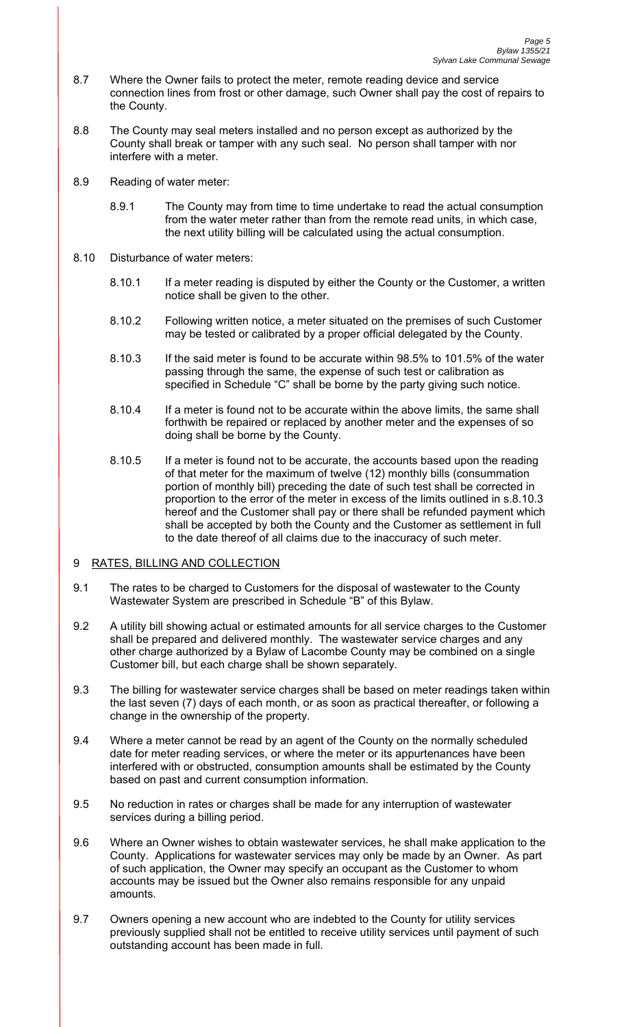- 8.7 Where the Owner fails to protect the meter, remote reading device and service connection lines from frost or other damage, such Owner shall pay the cost of repairs to the County.
- 8.8 The County may seal meters installed and no person except as authorized by the County shall break or tamper with any such seal. No person shall tamper with nor interfere with a meter.
- 8.9 Reading of water meter:
	- 8.9.1 The County may from time to time undertake to read the actual consumption from the water meter rather than from the remote read units, in which case, the next utility billing will be calculated using the actual consumption.
- 8.10 Disturbance of water meters:
	- 8.10.1 If a meter reading is disputed by either the County or the Customer, a written notice shall be given to the other.
	- 8.10.2 Following written notice, a meter situated on the premises of such Customer may be tested or calibrated by a proper official delegated by the County.
	- 8.10.3 If the said meter is found to be accurate within 98.5% to 101.5% of the water passing through the same, the expense of such test or calibration as specified in Schedule "C" shall be borne by the party giving such notice.
	- 8.10.4 If a meter is found not to be accurate within the above limits, the same shall forthwith be repaired or replaced by another meter and the expenses of so doing shall be borne by the County.
	- 8.10.5 If a meter is found not to be accurate, the accounts based upon the reading of that meter for the maximum of twelve (12) monthly bills (consummation portion of monthly bill) preceding the date of such test shall be corrected in proportion to the error of the meter in excess of the limits outlined in s.8.10.3 hereof and the Customer shall pay or there shall be refunded payment which shall be accepted by both the County and the Customer as settlement in full to the date thereof of all claims due to the inaccuracy of such meter.

# 9 RATES, BILLING AND COLLECTION

- 9.1 The rates to be charged to Customers for the disposal of wastewater to the County Wastewater System are prescribed in Schedule "B" of this Bylaw.
- 9.2 A utility bill showing actual or estimated amounts for all service charges to the Customer shall be prepared and delivered monthly. The wastewater service charges and any other charge authorized by a Bylaw of Lacombe County may be combined on a single Customer bill, but each charge shall be shown separately.
- 9.3 The billing for wastewater service charges shall be based on meter readings taken within the last seven (7) days of each month, or as soon as practical thereafter, or following a change in the ownership of the property.
- 9.4 Where a meter cannot be read by an agent of the County on the normally scheduled date for meter reading services, or where the meter or its appurtenances have been interfered with or obstructed, consumption amounts shall be estimated by the County based on past and current consumption information.
- 9.5 No reduction in rates or charges shall be made for any interruption of wastewater services during a billing period.
- 9.6 Where an Owner wishes to obtain wastewater services, he shall make application to the County. Applications for wastewater services may only be made by an Owner. As part of such application, the Owner may specify an occupant as the Customer to whom accounts may be issued but the Owner also remains responsible for any unpaid amounts.
- 9.7 Owners opening a new account who are indebted to the County for utility services previously supplied shall not be entitled to receive utility services until payment of such outstanding account has been made in full.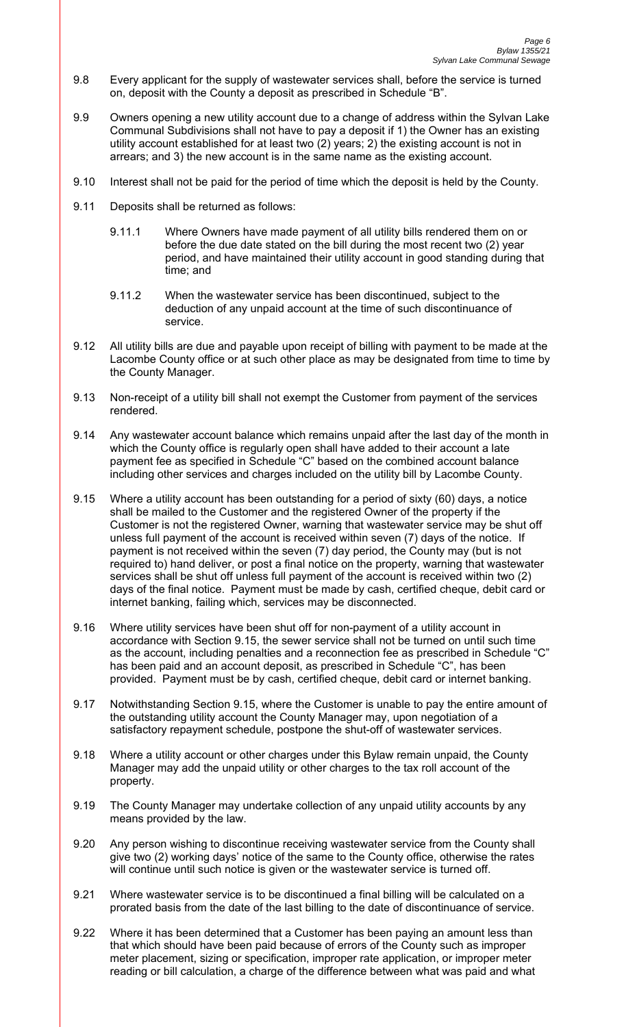- 9.8 Every applicant for the supply of wastewater services shall, before the service is turned on, deposit with the County a deposit as prescribed in Schedule "B".
- 9.9 Owners opening a new utility account due to a change of address within the Sylvan Lake Communal Subdivisions shall not have to pay a deposit if 1) the Owner has an existing utility account established for at least two (2) years; 2) the existing account is not in arrears; and 3) the new account is in the same name as the existing account.
- 9.10 Interest shall not be paid for the period of time which the deposit is held by the County.
- 9.11 Deposits shall be returned as follows:
	- 9.11.1 Where Owners have made payment of all utility bills rendered them on or before the due date stated on the bill during the most recent two (2) year period, and have maintained their utility account in good standing during that time; and
	- 9.11.2 When the wastewater service has been discontinued, subject to the deduction of any unpaid account at the time of such discontinuance of service.
- 9.12 All utility bills are due and payable upon receipt of billing with payment to be made at the Lacombe County office or at such other place as may be designated from time to time by the County Manager.
- 9.13 Non-receipt of a utility bill shall not exempt the Customer from payment of the services rendered.
- 9.14 Any wastewater account balance which remains unpaid after the last day of the month in which the County office is regularly open shall have added to their account a late payment fee as specified in Schedule "C" based on the combined account balance including other services and charges included on the utility bill by Lacombe County.
- 9.15 Where a utility account has been outstanding for a period of sixty (60) days, a notice shall be mailed to the Customer and the registered Owner of the property if the Customer is not the registered Owner, warning that wastewater service may be shut off unless full payment of the account is received within seven (7) days of the notice. If payment is not received within the seven (7) day period, the County may (but is not required to) hand deliver, or post a final notice on the property, warning that wastewater services shall be shut off unless full payment of the account is received within two (2) days of the final notice. Payment must be made by cash, certified cheque, debit card or internet banking, failing which, services may be disconnected.
- 9.16 Where utility services have been shut off for non-payment of a utility account in accordance with Section 9.15, the sewer service shall not be turned on until such time as the account, including penalties and a reconnection fee as prescribed in Schedule "C" has been paid and an account deposit, as prescribed in Schedule "C", has been provided. Payment must be by cash, certified cheque, debit card or internet banking.
- 9.17 Notwithstanding Section 9.15, where the Customer is unable to pay the entire amount of the outstanding utility account the County Manager may, upon negotiation of a satisfactory repayment schedule, postpone the shut-off of wastewater services.
- 9.18 Where a utility account or other charges under this Bylaw remain unpaid, the County Manager may add the unpaid utility or other charges to the tax roll account of the property.
- 9.19 The County Manager may undertake collection of any unpaid utility accounts by any means provided by the law.
- 9.20 Any person wishing to discontinue receiving wastewater service from the County shall give two (2) working days' notice of the same to the County office, otherwise the rates will continue until such notice is given or the wastewater service is turned off.
- 9.21 Where wastewater service is to be discontinued a final billing will be calculated on a prorated basis from the date of the last billing to the date of discontinuance of service.
- 9.22 Where it has been determined that a Customer has been paying an amount less than that which should have been paid because of errors of the County such as improper meter placement, sizing or specification, improper rate application, or improper meter reading or bill calculation, a charge of the difference between what was paid and what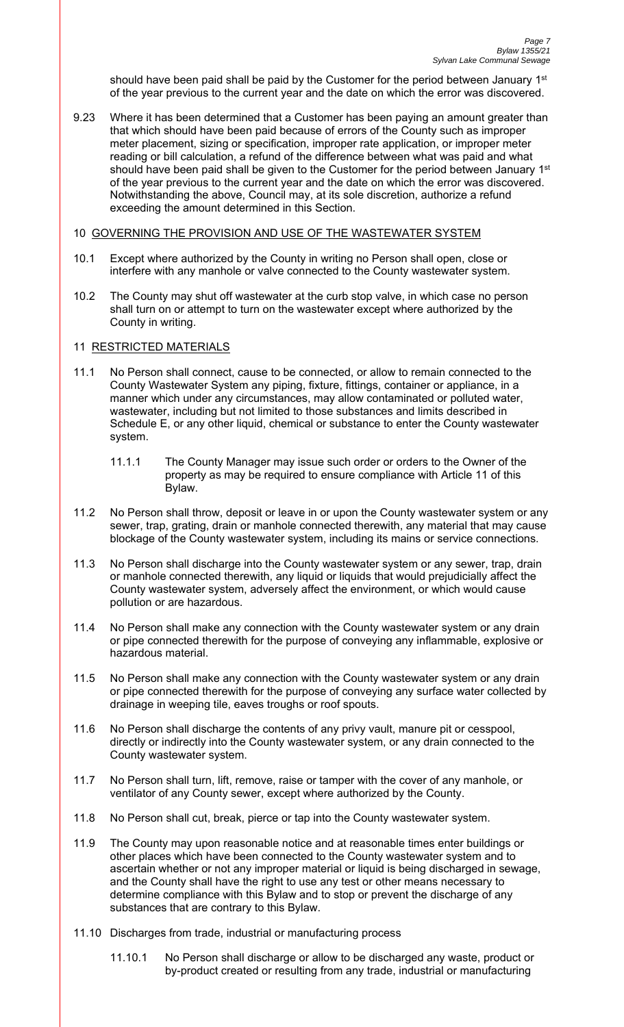should have been paid shall be paid by the Customer for the period between January 1<sup>st</sup> of the year previous to the current year and the date on which the error was discovered.

9.23 Where it has been determined that a Customer has been paying an amount greater than that which should have been paid because of errors of the County such as improper meter placement, sizing or specification, improper rate application, or improper meter reading or bill calculation, a refund of the difference between what was paid and what should have been paid shall be given to the Customer for the period between January 1<sup>st</sup> of the year previous to the current year and the date on which the error was discovered. Notwithstanding the above, Council may, at its sole discretion, authorize a refund exceeding the amount determined in this Section.

### 10 GOVERNING THE PROVISION AND USE OF THE WASTEWATER SYSTEM

- 10.1 Except where authorized by the County in writing no Person shall open, close or interfere with any manhole or valve connected to the County wastewater system.
- 10.2 The County may shut off wastewater at the curb stop valve, in which case no person shall turn on or attempt to turn on the wastewater except where authorized by the County in writing.

# 11 RESTRICTED MATERIALS

- 11.1 No Person shall connect, cause to be connected, or allow to remain connected to the County Wastewater System any piping, fixture, fittings, container or appliance, in a manner which under any circumstances, may allow contaminated or polluted water, wastewater, including but not limited to those substances and limits described in Schedule E, or any other liquid, chemical or substance to enter the County wastewater system.
	- 11.1.1 The County Manager may issue such order or orders to the Owner of the property as may be required to ensure compliance with Article 11 of this Bylaw.
- 11.2 No Person shall throw, deposit or leave in or upon the County wastewater system or any sewer, trap, grating, drain or manhole connected therewith, any material that may cause blockage of the County wastewater system, including its mains or service connections.
- 11.3 No Person shall discharge into the County wastewater system or any sewer, trap, drain or manhole connected therewith, any liquid or liquids that would prejudicially affect the County wastewater system, adversely affect the environment, or which would cause pollution or are hazardous.
- 11.4 No Person shall make any connection with the County wastewater system or any drain or pipe connected therewith for the purpose of conveying any inflammable, explosive or hazardous material.
- 11.5 No Person shall make any connection with the County wastewater system or any drain or pipe connected therewith for the purpose of conveying any surface water collected by drainage in weeping tile, eaves troughs or roof spouts.
- 11.6 No Person shall discharge the contents of any privy vault, manure pit or cesspool, directly or indirectly into the County wastewater system, or any drain connected to the County wastewater system.
- 11.7 No Person shall turn, lift, remove, raise or tamper with the cover of any manhole, or ventilator of any County sewer, except where authorized by the County.
- 11.8 No Person shall cut, break, pierce or tap into the County wastewater system.
- 11.9 The County may upon reasonable notice and at reasonable times enter buildings or other places which have been connected to the County wastewater system and to ascertain whether or not any improper material or liquid is being discharged in sewage, and the County shall have the right to use any test or other means necessary to determine compliance with this Bylaw and to stop or prevent the discharge of any substances that are contrary to this Bylaw.
- 11.10 Discharges from trade, industrial or manufacturing process
	- 11.10.1 No Person shall discharge or allow to be discharged any waste, product or by-product created or resulting from any trade, industrial or manufacturing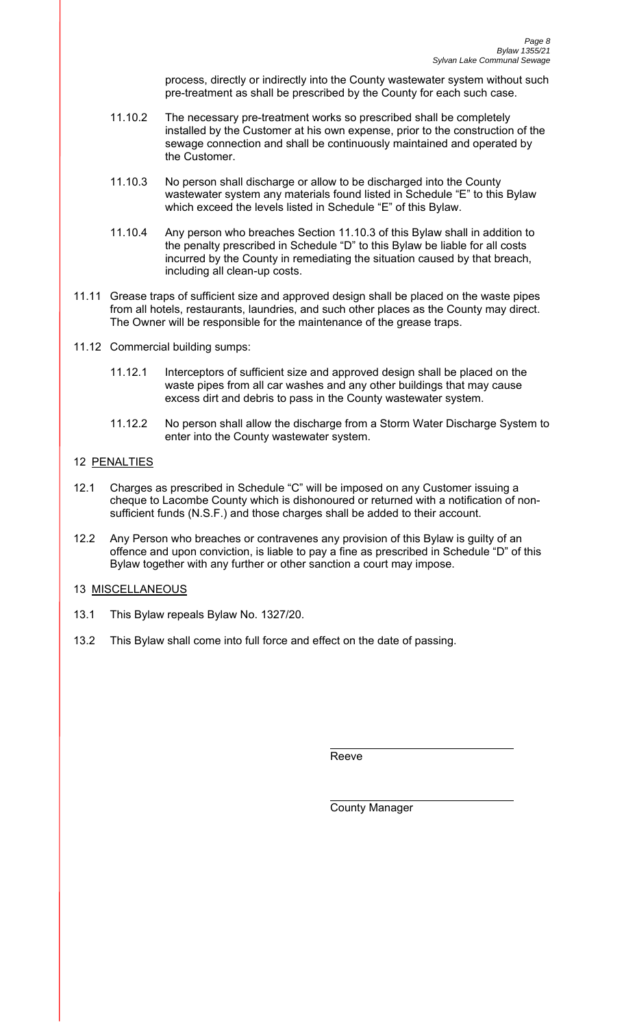process, directly or indirectly into the County wastewater system without such pre-treatment as shall be prescribed by the County for each such case.

- 11.10.2 The necessary pre-treatment works so prescribed shall be completely installed by the Customer at his own expense, prior to the construction of the sewage connection and shall be continuously maintained and operated by the Customer.
- 11.10.3 No person shall discharge or allow to be discharged into the County wastewater system any materials found listed in Schedule "E" to this Bylaw which exceed the levels listed in Schedule "E" of this Bylaw.
- 11.10.4 Any person who breaches Section 11.10.3 of this Bylaw shall in addition to the penalty prescribed in Schedule "D" to this Bylaw be liable for all costs incurred by the County in remediating the situation caused by that breach, including all clean-up costs.
- 11.11 Grease traps of sufficient size and approved design shall be placed on the waste pipes from all hotels, restaurants, laundries, and such other places as the County may direct. The Owner will be responsible for the maintenance of the grease traps.
- 11.12 Commercial building sumps:
	- 11.12.1 Interceptors of sufficient size and approved design shall be placed on the waste pipes from all car washes and any other buildings that may cause excess dirt and debris to pass in the County wastewater system.
	- 11.12.2 No person shall allow the discharge from a Storm Water Discharge System to enter into the County wastewater system.

# 12 PENALTIES

- 12.1 Charges as prescribed in Schedule "C" will be imposed on any Customer issuing a cheque to Lacombe County which is dishonoured or returned with a notification of nonsufficient funds (N.S.F.) and those charges shall be added to their account.
- 12.2 Any Person who breaches or contravenes any provision of this Bylaw is guilty of an offence and upon conviction, is liable to pay a fine as prescribed in Schedule "D" of this Bylaw together with any further or other sanction a court may impose.

# 13 MISCELLANEOUS

- 13.1 This Bylaw repeals Bylaw No. 1327/20.
- 13.2 This Bylaw shall come into full force and effect on the date of passing.

**Reeve** Reeve

County Manager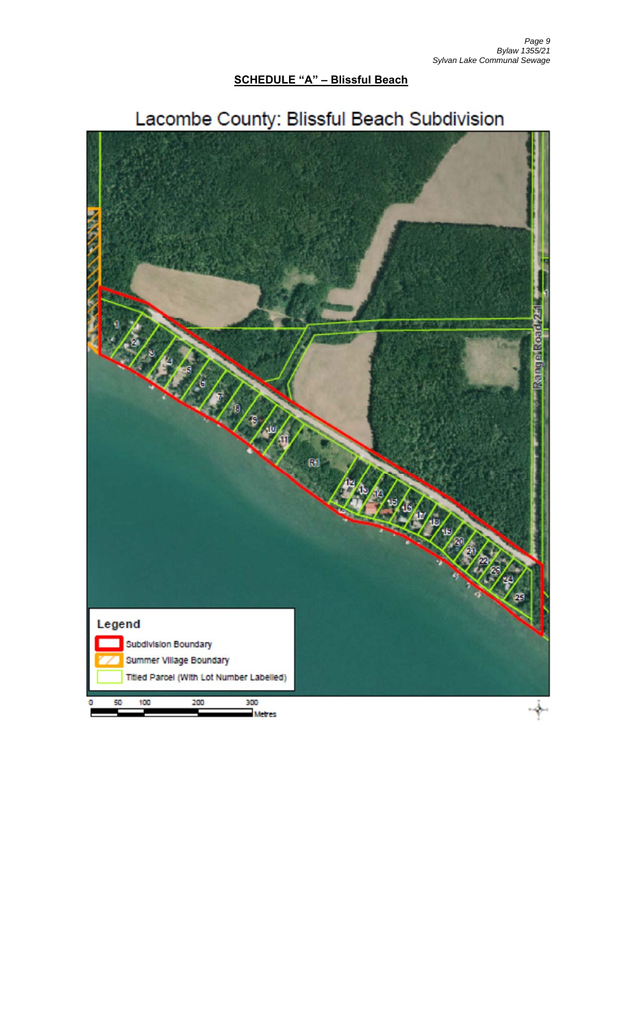# **SCHEDULE "A" - Blissful Beach**



# Lacombe County: Blissful Beach Subdivision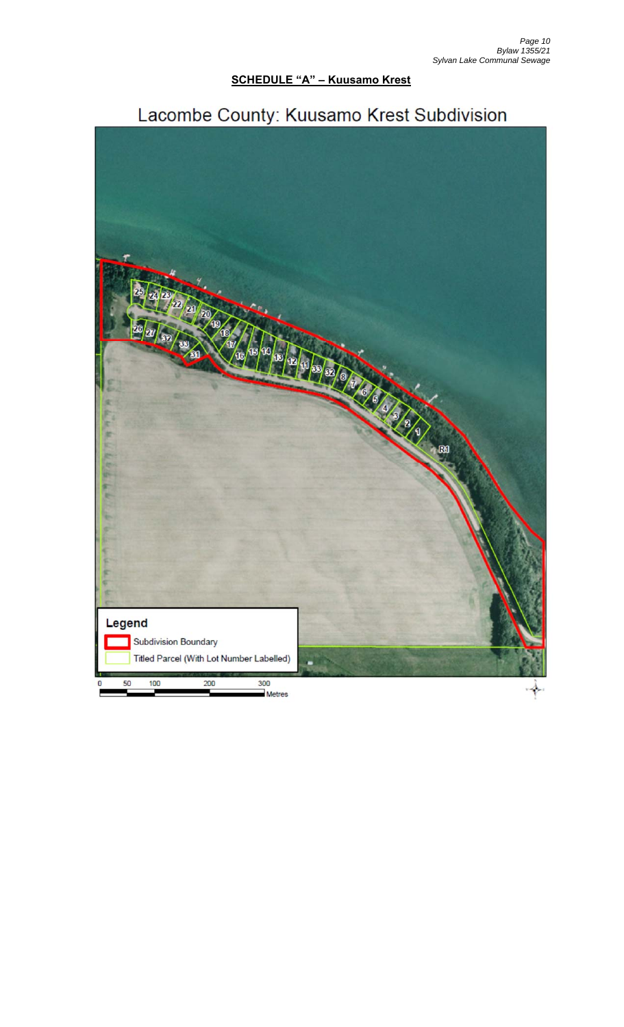# **SCHEDULE "A" - Kuusamo Krest**



# Lacombe County: Kuusamo Krest Subdivision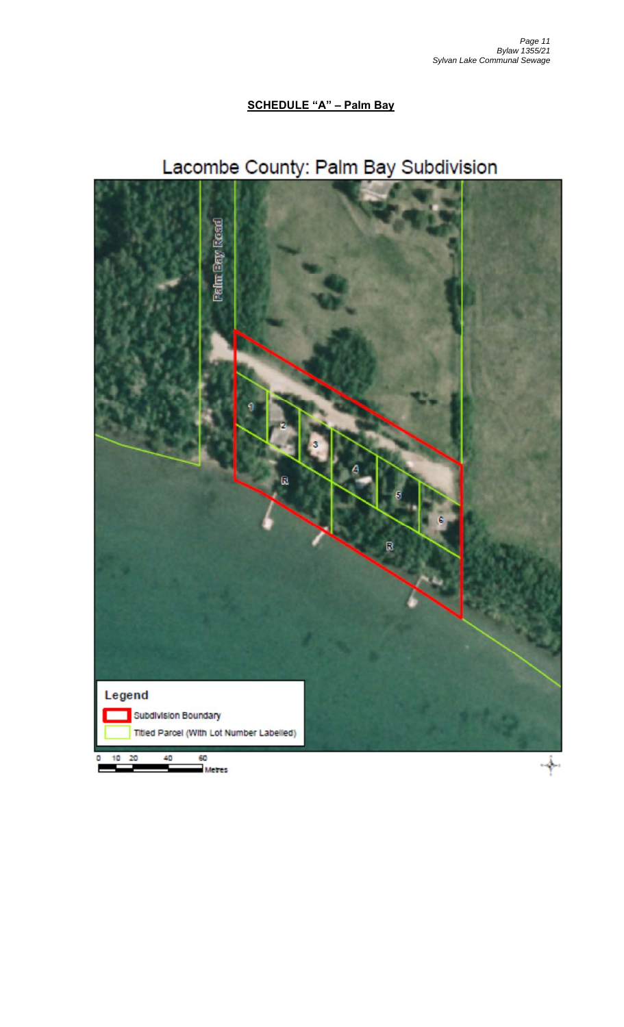# **SCHEDULE "A" - Palm Bay**

# Lacombe County: Palm Bay Subdivision

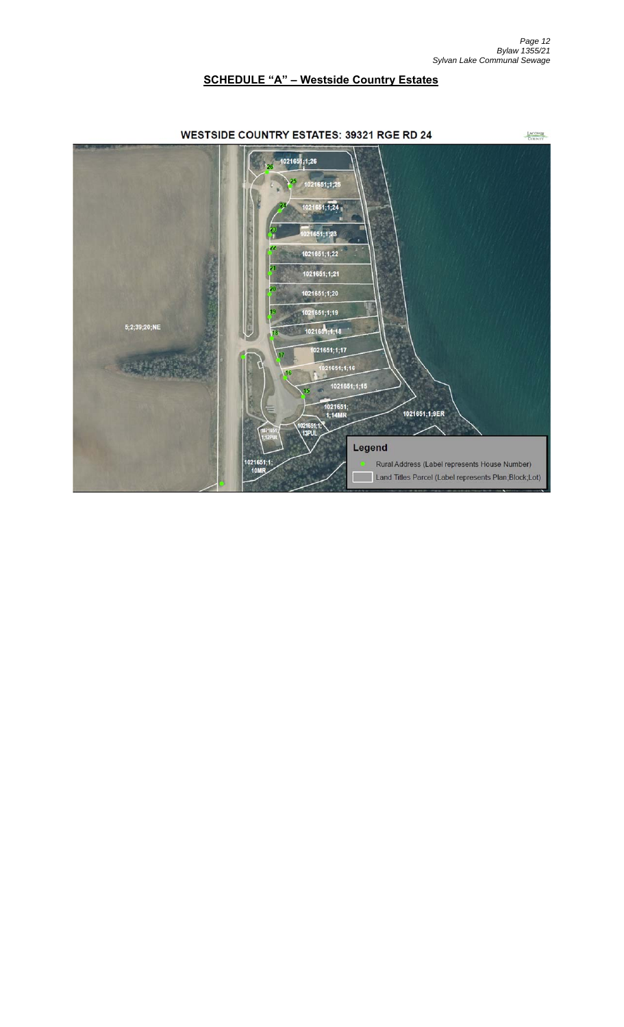# **SCHEDULE "A" – Westside Country Estates**

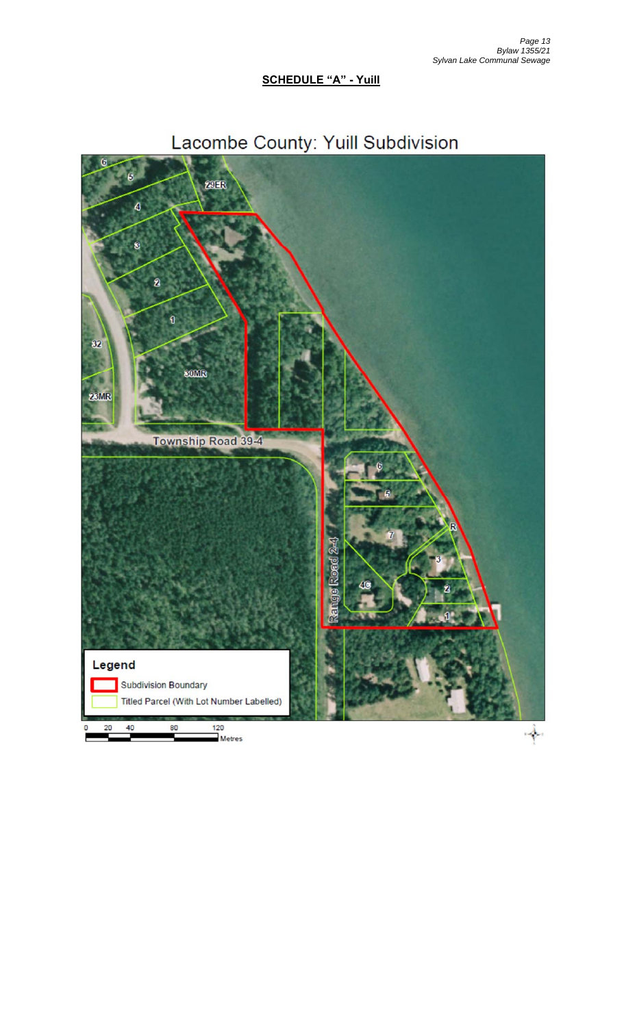# **SCHEDULE "A" - Yuill**



# Lacombe County: Yuill Subdivision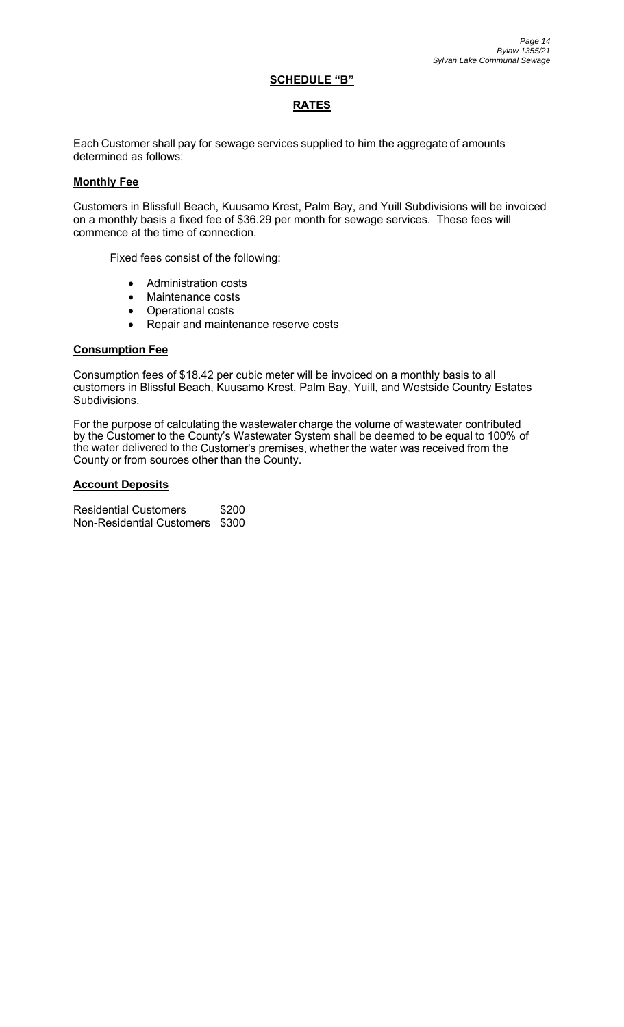### **SCHEDULE "B"**

# **RATES**

Each Customer shall pay for sewage services supplied to him the aggregate of amounts determined as follows:

### **Monthly Fee**

Customers in Blissfull Beach, Kuusamo Krest, Palm Bay, and Yuill Subdivisions will be invoiced on a monthly basis a fixed fee of \$36.29 per month for sewage services. These fees will commence at the time of connection.

Fixed fees consist of the following:

- Administration costs
- Maintenance costs
- Operational costs
- Repair and maintenance reserve costs

### **Consumption Fee**

Consumption fees of \$18.42 per cubic meter will be invoiced on a monthly basis to all customers in Blissful Beach, Kuusamo Krest, Palm Bay, Yuill, and Westside Country Estates Subdivisions.

For the purpose of calculating the wastewater charge the volume of wastewater contributed by the Customer to the County's Wastewater System shall be deemed to be equal to 100% of the water delivered to the Customer's premises, whether the water was received from the County or from sources other than the County.

### **Account Deposits**

Residential Customers \$200 Non-Residential Customers \$300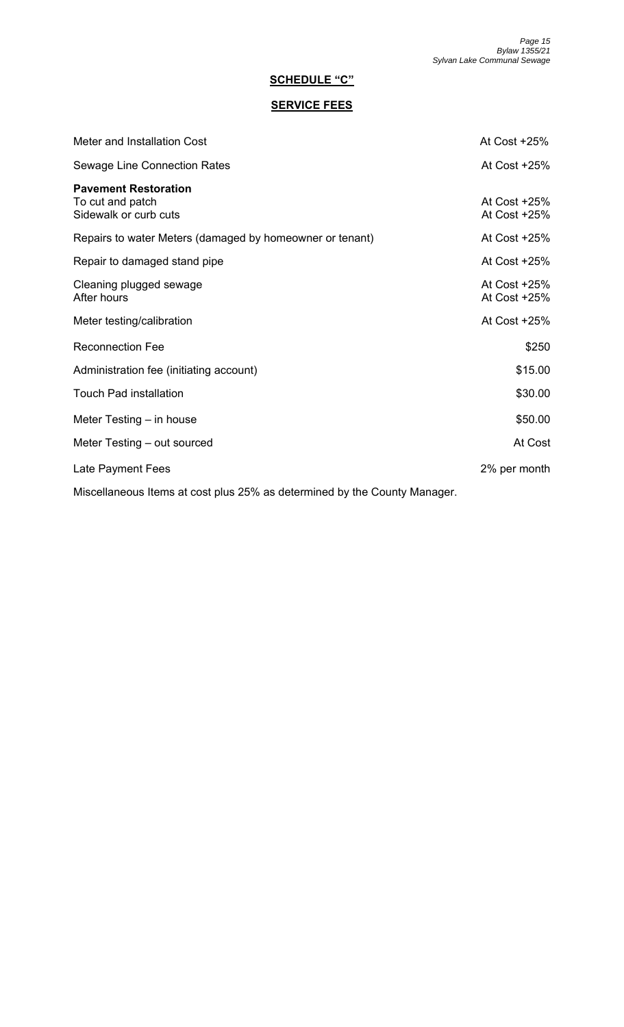# **SCHEDULE "C"**

# **SERVICE FEES**

| Meter and Installation Cost                                               | At Cost +25%                 |
|---------------------------------------------------------------------------|------------------------------|
| <b>Sewage Line Connection Rates</b>                                       | At Cost $+25%$               |
| <b>Pavement Restoration</b><br>To cut and patch<br>Sidewalk or curb cuts  | At Cost +25%<br>At Cost +25% |
| Repairs to water Meters (damaged by homeowner or tenant)                  | At Cost +25%                 |
| Repair to damaged stand pipe                                              | At Cost $+25%$               |
| Cleaning plugged sewage<br>After hours                                    | At Cost +25%<br>At Cost +25% |
| Meter testing/calibration                                                 | At Cost $+25%$               |
| <b>Reconnection Fee</b>                                                   | \$250                        |
| Administration fee (initiating account)                                   | \$15.00                      |
| <b>Touch Pad installation</b>                                             | \$30.00                      |
| Meter Testing $-$ in house                                                | \$50.00                      |
| Meter Testing – out sourced                                               | At Cost                      |
| Late Payment Fees                                                         | 2% per month                 |
| Miscellaneous Items at cost plus 25% as determined by the County Manager. |                              |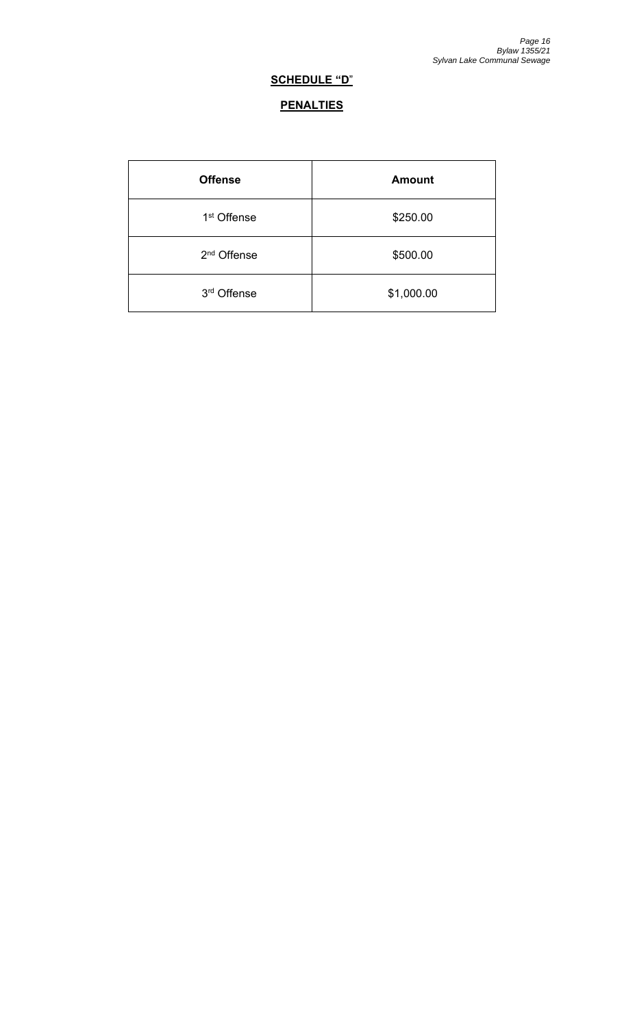# **SCHEDULE "D**"

# **PENALTIES**

| <b>Offense</b>          | <b>Amount</b> |
|-------------------------|---------------|
| 1 <sup>st</sup> Offense | \$250.00      |
| 2 <sup>nd</sup> Offense | \$500.00      |
| 3rd Offense             | \$1,000.00    |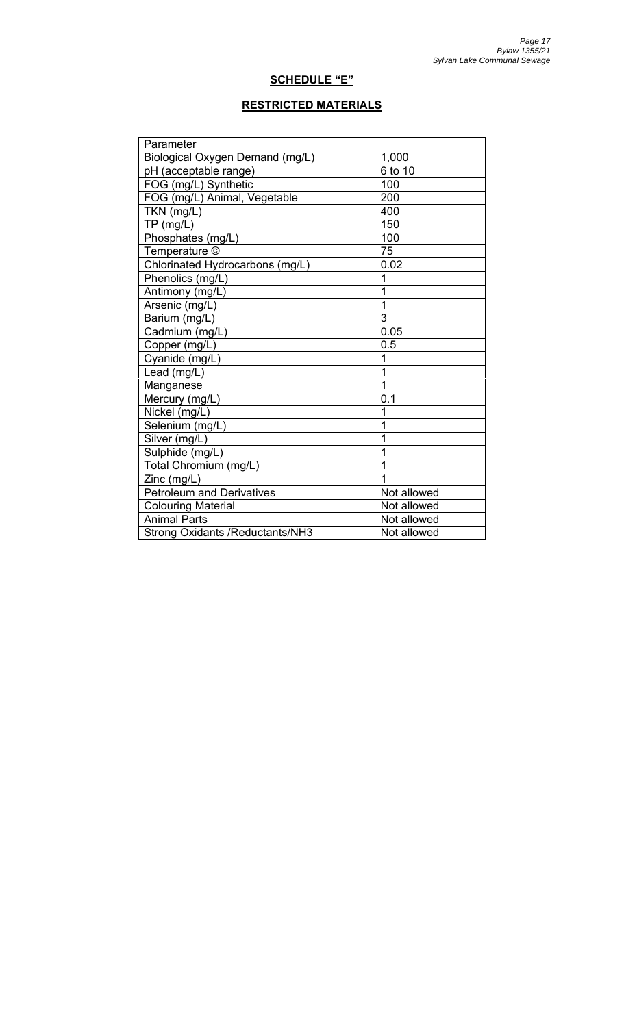# **SCHEDULE "E"**

# **RESTRICTED MATERIALS**

| Parameter                               |                |  |
|-----------------------------------------|----------------|--|
| Biological Oxygen Demand (mg/L)         | 1,000          |  |
| pH (acceptable range)                   | 6 to 10        |  |
| FOG (mg/L) Synthetic                    | 100            |  |
| FOG (mg/L) Animal, Vegetable            | 200            |  |
| TKN (mg/L)                              | 400            |  |
| $TP$ (mg/L)                             | 150            |  |
| Phosphates (mg/L)                       | 100            |  |
| Temperature ©                           | 75             |  |
| Chlorinated Hydrocarbons (mg/L)         | 0.02           |  |
| Phenolics (mg/L)                        | 1              |  |
| Antimony (mg/L)                         | $\overline{1}$ |  |
| Arsenic (mg/L)                          | $\mathbf{1}$   |  |
| Barium (mg/L)                           | 3              |  |
| Cadmium (mg/L)                          | 0.05           |  |
| Copper (mg/L)                           | 0.5            |  |
| Cyanide (mg/L)                          | $\overline{1}$ |  |
| Lead (mg/L)                             | $\overline{1}$ |  |
| Manganese                               | 1              |  |
| Mercury (mg/L)                          | 0.1            |  |
| Nickel (mg/L)                           | 1              |  |
| Selenium (mg/L)                         | $\overline{1}$ |  |
| Silver (mg/L)                           | 1              |  |
| Sulphide (mg/L)                         | 1              |  |
| Total Chromium (mg/L)                   | $\mathbf{1}$   |  |
| Zinc (mg/L)                             | 1              |  |
| <b>Petroleum and Derivatives</b>        | Not allowed    |  |
| <b>Colouring Material</b>               | Not allowed    |  |
| <b>Animal Parts</b>                     | Not allowed    |  |
| <b>Strong Oxidants / Reductants/NH3</b> | Not allowed    |  |